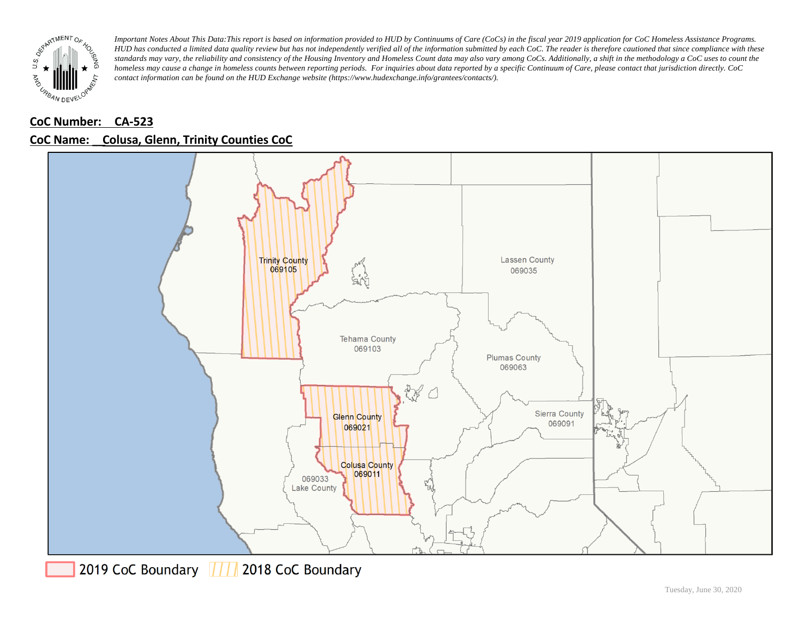

## **CoC Number: CA-523 CoC Name: \_\_ Colusa, Glenn, Trinity Counties CoC**



2019 CoC Boundary 777 2018 CoC Boundary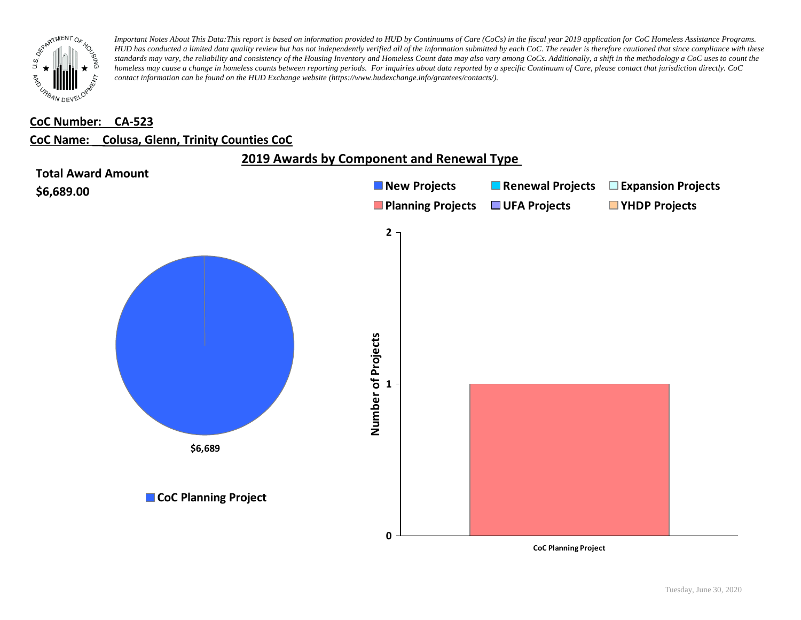

#### **CoC Number: CA-523**

#### **CoC Name: \_\_ Colusa, Glenn, Trinity Counties CoC**



**CoC Planning Project**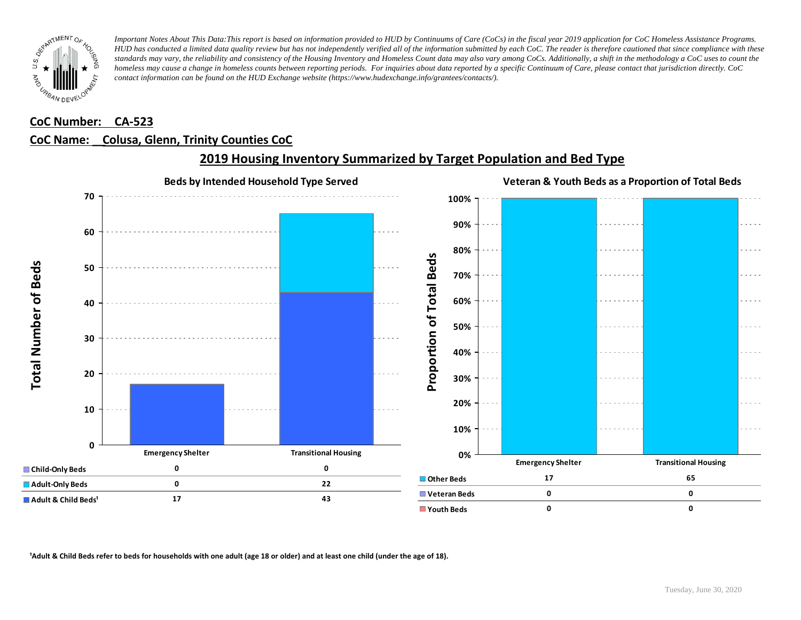

### **CoC Number: CA-523**

### **CoC Name: \_\_ Colusa, Glenn, Trinity Counties CoC**



## **2019 Housing Inventory Summarized by Target Population and Bed Type**

<sup>1</sup> Adult & Child Beds refer to beds for households with one adult (age 18 or older) and at least one child (under the age of 18).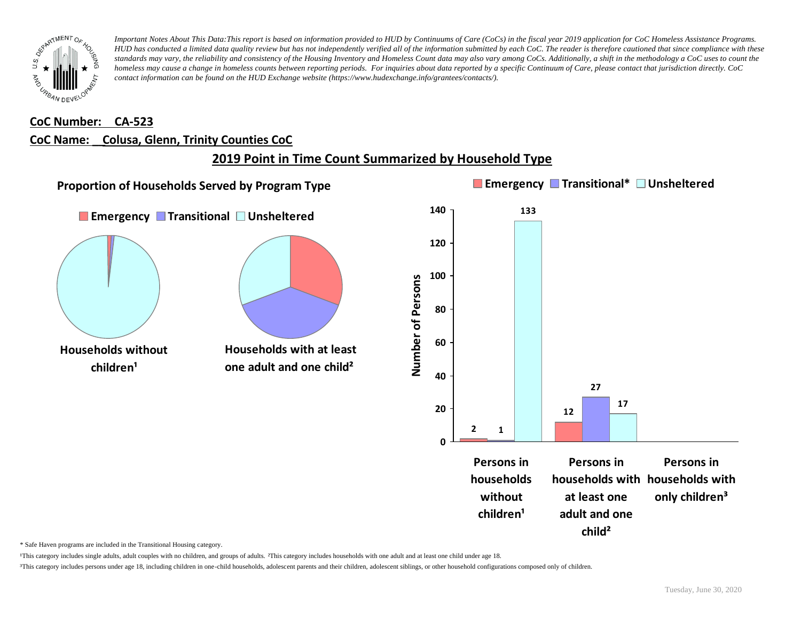

#### **CoC Number: CA-523**

#### **CoC Name: \_\_ Colusa, Glenn, Trinity Counties CoC**

## **2019 Point in Time Count Summarized by Household Type**



\* Safe Haven programs are included in the Transitional Housing category.

¹This category includes single adults, adult couples with no children, and groups of adults. ²This category includes households with one adult and at least one child under age 18.

³This category includes persons under age 18, including children in one-child households, adolescent parents and their children, adolescent siblings, or other household configurations composed only of children.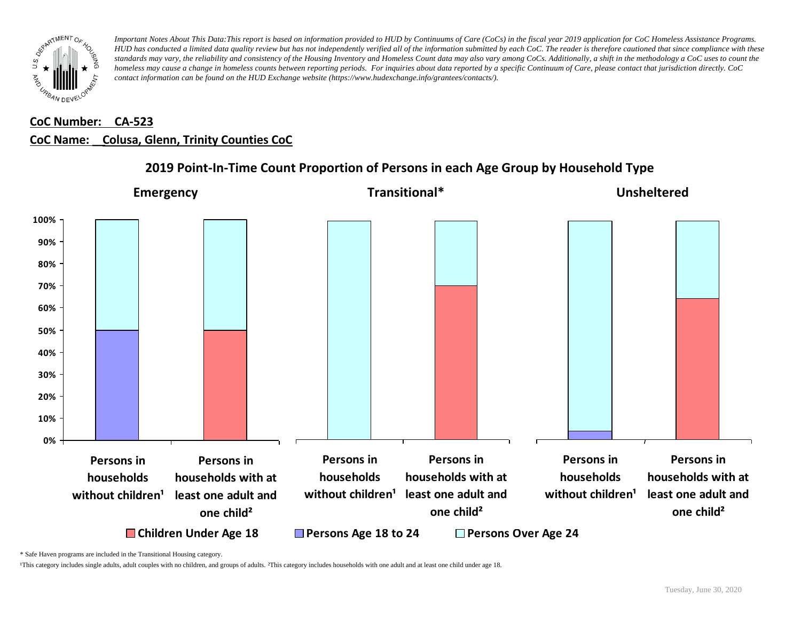

# **CoC Number: CA-523 CoC Name: \_\_ Colusa, Glenn, Trinity Counties CoC**



### **2019 Point-In-Time Count Proportion of Persons in each Age Group by Household Type**

\* Safe Haven programs are included in the Transitional Housing category.

¹This category includes single adults, adult couples with no children, and groups of adults. ²This category includes households with one adult and at least one child under age 18.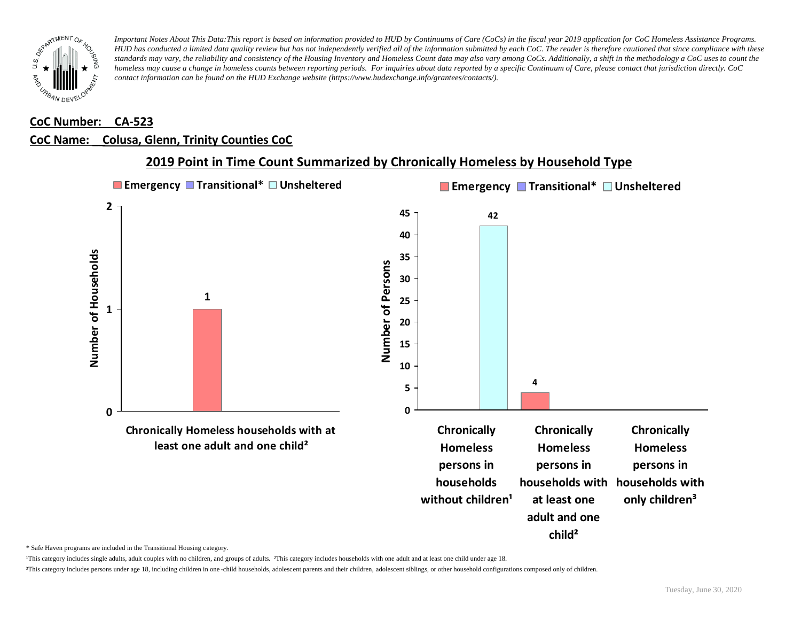

#### **CoC Number: CA-523**

### **CoC Name: \_\_ Colusa, Glenn, Trinity Counties CoC**



### **2019 Point in Time Count Summarized by Chronically Homeless by Household Type**

\* Safe Haven programs are included in the Transitional Housing category.

¹This category includes single adults, adult couples with no children, and groups of adults. ²This category includes households with one adult and at least one child under age 18.

³This category includes persons under age 18, including children in one -child households, adolescent parents and their children, adolescent siblings, or other household configurations composed only of children.